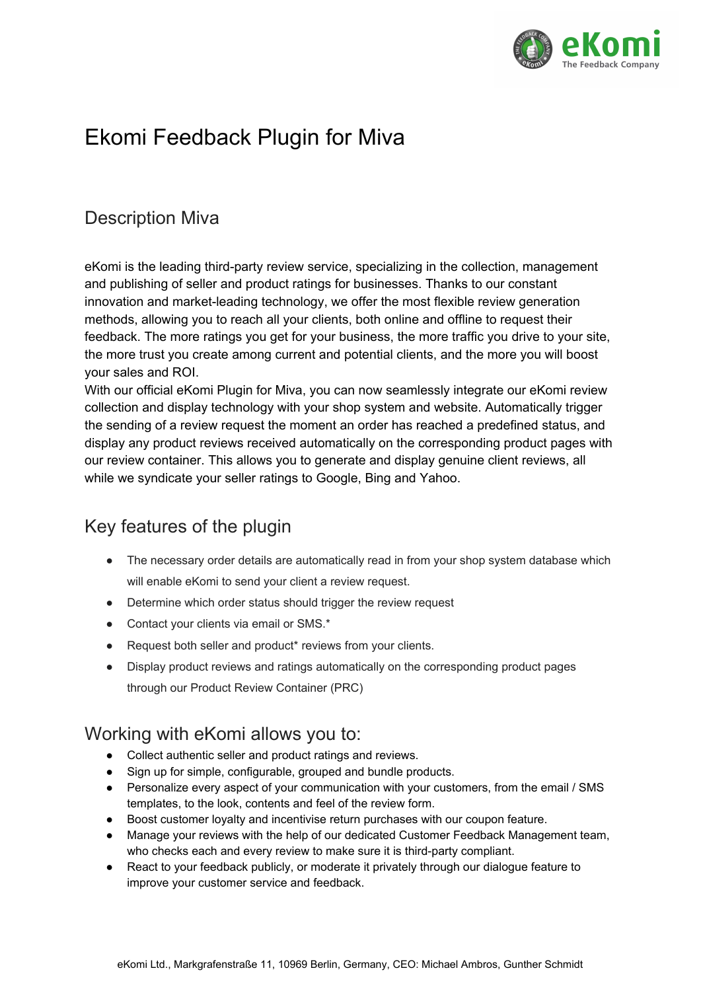

# Ekomi Feedback Plugin for Miva

# Description Miva

eKomi is the leading third-party review service, specializing in the collection, management and publishing of seller and product ratings for businesses. Thanks to our constant innovation and market-leading technology, we offer the most flexible review generation methods, allowing you to reach all your clients, both online and offline to request their feedback. The more ratings you get for your business, the more traffic you drive to your site, the more trust you create among current and potential clients, and the more you will boost your sales and ROI.

With our official eKomi Plugin for Miva, you can now seamlessly integrate our eKomi review collection and display technology with your shop system and website. Automatically trigger the sending of a review request the moment an order has reached a predefined status, and display any product reviews received automatically on the corresponding product pages with our review container. This allows you to generate and display genuine client reviews, all while we syndicate your seller ratings to Google, Bing and Yahoo.

# Key features of the plugin

- The necessary order details are automatically read in from your shop system database which will enable eKomi to send your client a review request.
- Determine which order status should trigger the review request
- Contact your clients via email or SMS.\*
- Request both seller and product\* reviews from your clients.
- Display product reviews and ratings automatically on the corresponding product pages through our Product Review Container (PRC)

# Working with eKomi allows you to:

- Collect authentic seller and product ratings and reviews.
- Sign up for simple, configurable, grouped and bundle products.
- Personalize every aspect of your communication with your customers, from the email / SMS templates, to the look, contents and feel of the review form.
- Boost customer loyalty and incentivise return purchases with our coupon feature.
- Manage your reviews with the help of our dedicated Customer Feedback Management team, who checks each and every review to make sure it is third-party compliant.
- React to your feedback publicly, or moderate it privately through our dialogue feature to improve your customer service and feedback.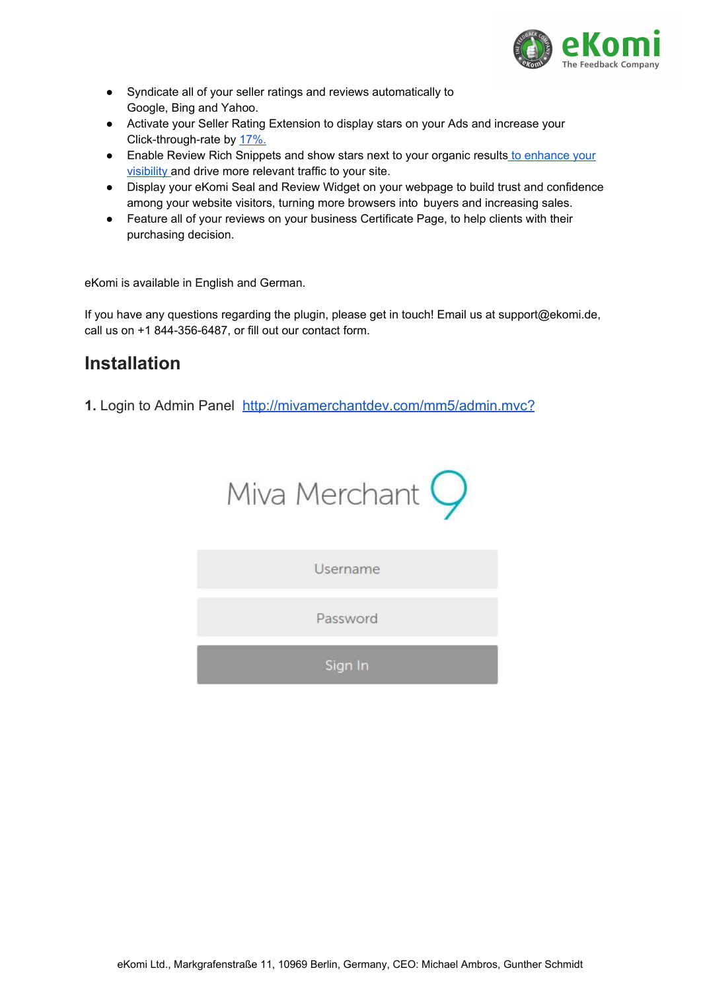

- Syndicate all of your seller ratings and reviews automatically to Google, Bing and Yahoo.
- Activate your Seller Rating Extension to display stars on your Ads and increase your Click-through-rate by [17%.](https://adwords.googleblog.com/2011/04/5-simple-ways-to-improve-your-adwords.html)
- Enable Review Rich Snippets and show stars next to your organic results to [enhance](http://searchengineland.com/how-to-get-a-30-increase-in-ctr-with-structured-markup-105830) your [visibility](http://searchengineland.com/how-to-get-a-30-increase-in-ctr-with-structured-markup-105830) and drive more relevant traffic to your site.
- Display your eKomi Seal and Review Widget on your webpage to build trust and confidence among your website visitors, turning more browsers into buyers and increasing sales.
- Feature all of your reviews on your business Certificate Page, to help clients with their purchasing decision.

eKomi is available in English and German.

If you have any questions regarding the plugin, please get in touch! Email us at support@ekomi.de, call us on +1 844-356-6487, or fill out our contact form.

# **Installation**

**1.** Login to Admin Panel <http://mivamerchantdev.com/mm5/admin.mvc?>



Username

Password

Sign In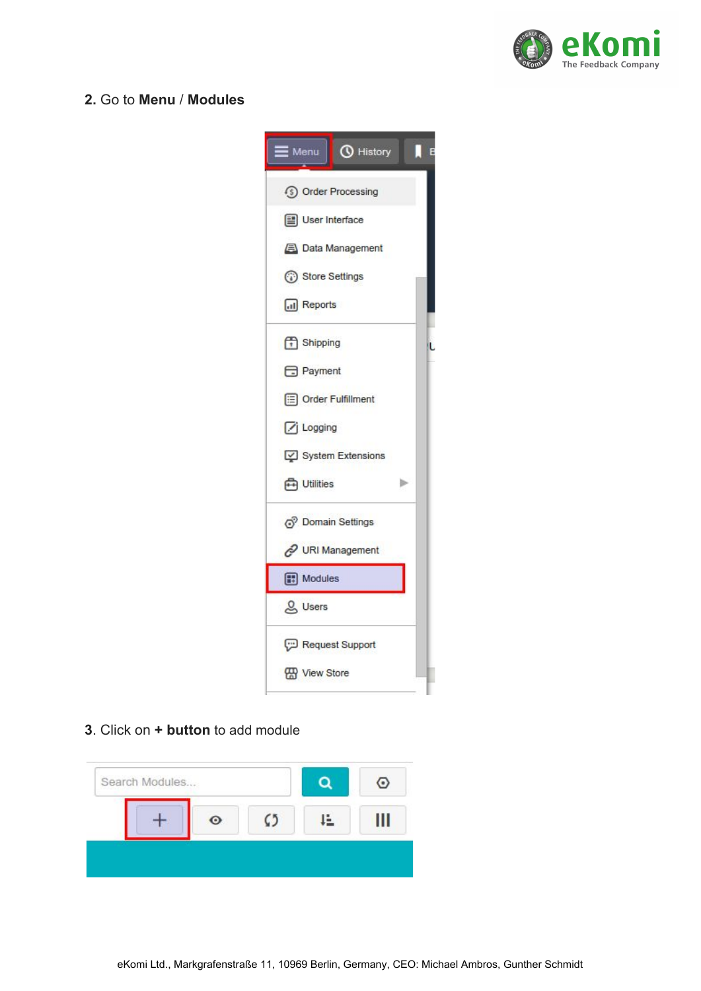

### **2.** Go to **Menu** / **Modules**

| $\equiv$ Menu $\mid$ <b>(</b> $\bullet$ History<br>E |
|------------------------------------------------------|
| 5 Order Processing                                   |
| User Interface                                       |
| <b>EN</b> Data Management                            |
| Store Settings                                       |
| all Reports                                          |
| f <sup>1</sup> Shipping                              |
| Payment                                              |
| Order Fulfillment                                    |
| Logging                                              |
| System Extensions                                    |
| <b>A</b> Utilities<br>ь                              |
| (5 <sup>9</sup> Domain Settings                      |
| URI Management                                       |
| Modules                                              |
| & Users                                              |
| Request Support                                      |
| Wiew Store                                           |
|                                                      |

#### **3**. Click on **+ button** to add module

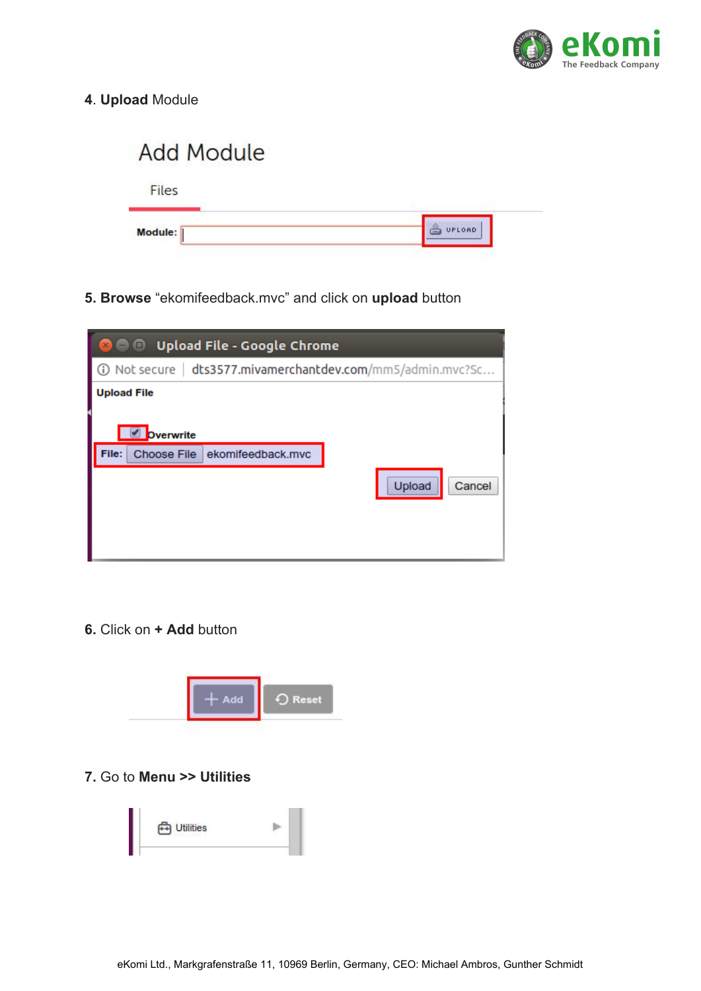

**4**. **Upload** Module

| <b>Add Module</b> |        |
|-------------------|--------|
| Files             |        |
| Module:           | UPLOAD |

**5. Browse** "ekomifeedback.mvc" and click on **upload** button



**6.** Click on **+ Add** button



**7.** Go to **Menu >> Utilities**

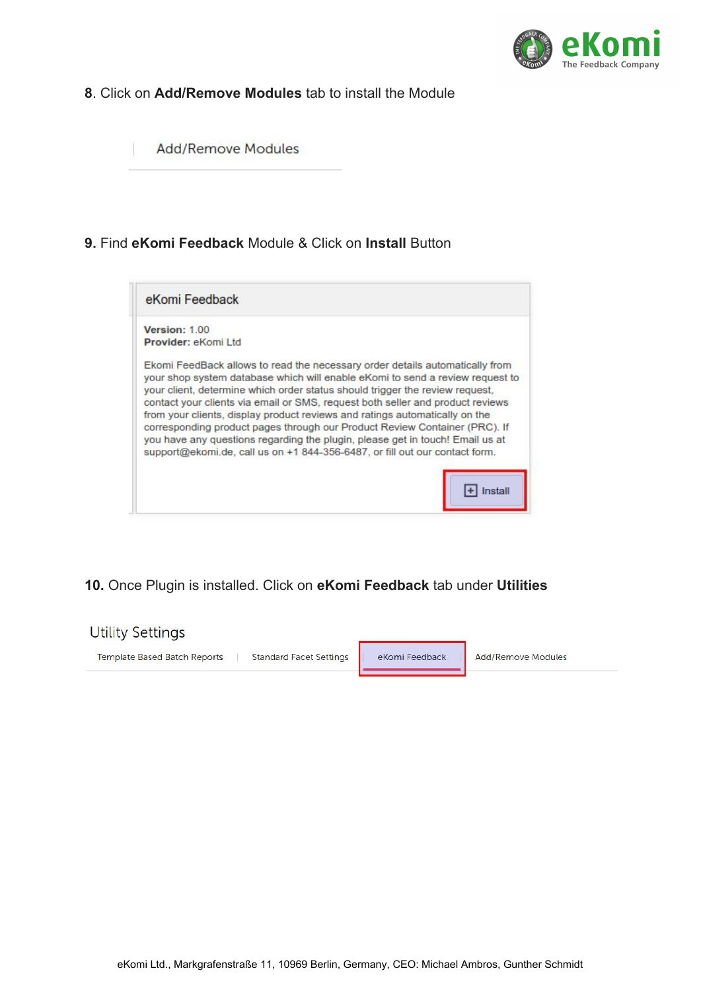

### **8**. Click on **Add/Remove Modules** tab to install the Module

**Add/Remove Modules** 

### **9.** Find **eKomi Feedback** Module & Click on **Install** Button



# **10.** Once Plugin is installed. Click on **eKomi Feedback** tab under **Utilities**

#### **Utility Settings**

Template Based Batch Reports | Standard Facet Settings

eKomi Feedback

Add/Remove Modules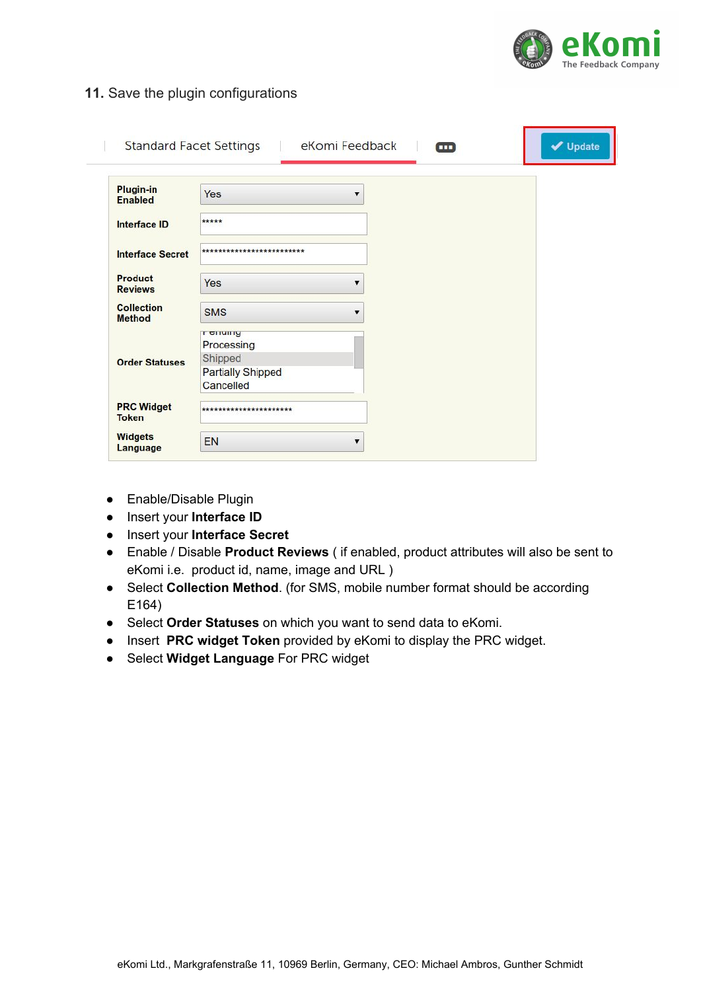

#### **11.** Save the plugin configurations

| <b>Plugin-in</b><br><b>Enabled</b> | Yes                                                                                | ▼ |  |
|------------------------------------|------------------------------------------------------------------------------------|---|--|
| <b>Interface ID</b>                | *****                                                                              |   |  |
| <b>Interface Secret</b>            | *************************                                                          |   |  |
| <b>Product</b><br><b>Reviews</b>   | Yes                                                                                | ▼ |  |
| <b>Collection</b><br><b>Method</b> | <b>SMS</b>                                                                         | ▼ |  |
| <b>Order Statuses</b>              | <b>T CITUITY</b><br>Processing<br>Shipped<br><b>Partially Shipped</b><br>Cancelled |   |  |
| <b>PRC Widget</b><br><b>Token</b>  | ***********************                                                            |   |  |
| <b>Widgets</b><br><b>Language</b>  | EN                                                                                 | ▼ |  |

- Enable/Disable Plugin
- Insert your **Interface ID**
- Insert your **Interface Secret**
- Enable / Disable **Product Reviews** ( if enabled, product attributes will also be sent to eKomi i.e. product id, name, image and URL )
- Select **Collection Method**. (for SMS, mobile number format should be according E164)
- Select **Order Statuses** on which you want to send data to eKomi.
- Insert **PRC widget Token** provided by eKomi to display the PRC widget.
- Select **Widget Language** For PRC widget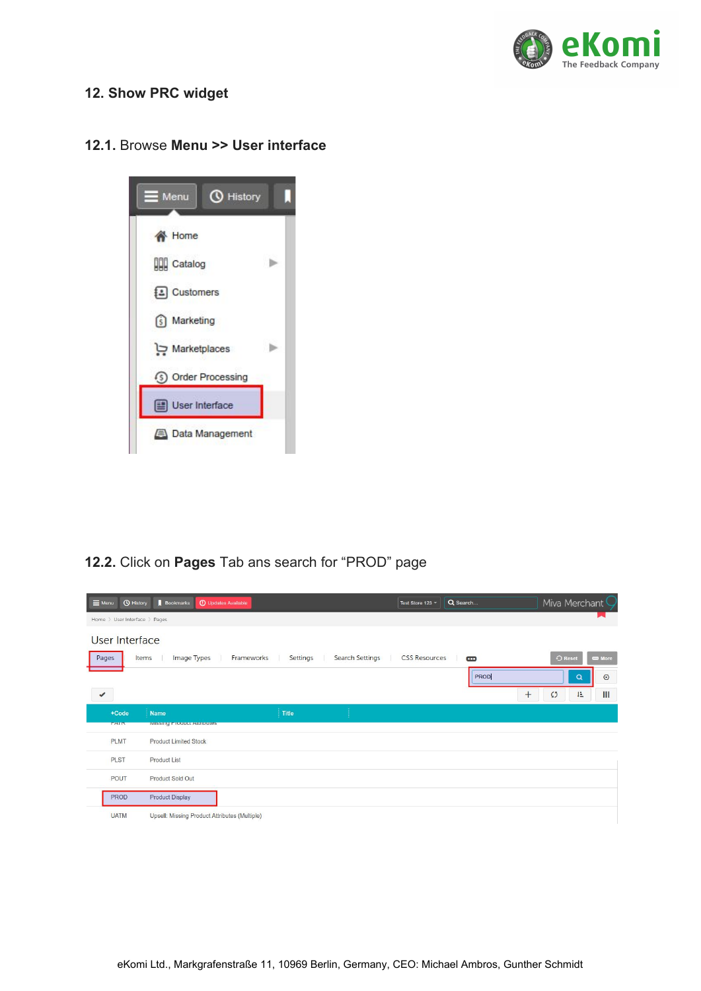

### **12. Show PRC widget**

#### **12.1.** Browse **Menu >> User interface**



### **12.2.** Click on **Pages** Tab ans search for "PROD" page

| <b><i>Q</i></b> History<br>$\equiv$ Menu | Bookmarks                                     | <b>C</b> Updates Available |                 | Test Store 123 -     | Q Search       | Miva Merchant C                       |
|------------------------------------------|-----------------------------------------------|----------------------------|-----------------|----------------------|----------------|---------------------------------------|
| Home > User Interface > Pages            |                                               |                            |                 |                      |                |                                       |
| <b>User Interface</b>                    |                                               |                            |                 |                      |                |                                       |
| Pages                                    | Items<br>Image Types                          | Settings<br>Frameworks     | Search Settings | <b>CSS Resources</b> | $\blacksquare$ | $\bigcirc$ Reset<br><b>CD</b> More    |
|                                          |                                               |                            |                 |                      | PROD           | $\odot$<br>Q                          |
| $\checkmark$                             |                                               |                            |                 |                      |                | $\mathbf{III}$<br>$+$<br>柱<br>$\zeta$ |
| $+Code$                                  | Name                                          | Title                      |                 |                      |                |                                       |
| <b>TAIN</b>                              | <b>IVIISSING FTOQUOL ARTIQUIES</b>            |                            |                 |                      |                |                                       |
| <b>PLMT</b>                              | <b>Product Limited Stock</b>                  |                            |                 |                      |                |                                       |
| PLST                                     | <b>Product List</b>                           |                            |                 |                      |                |                                       |
| <b>POUT</b>                              | Product Sold Out                              |                            |                 |                      |                |                                       |
| <b>PROD</b>                              | <b>Product Display</b>                        |                            |                 |                      |                |                                       |
| <b>UATM</b>                              | Upsell: Missing Product Attributes (Multiple) |                            |                 |                      |                |                                       |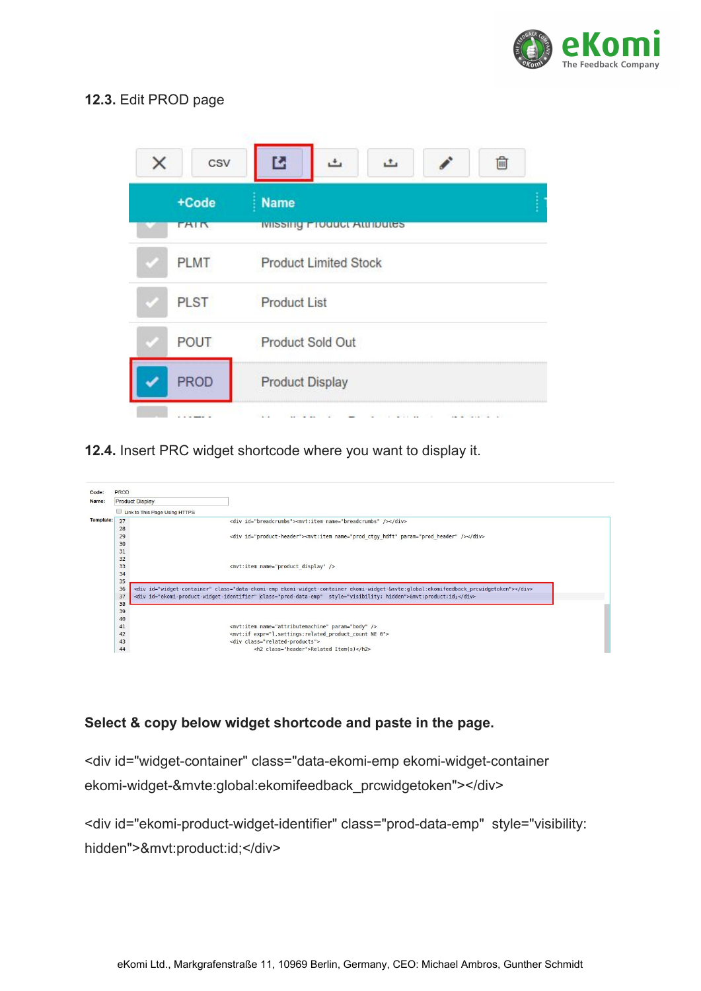

### **12.3.** Edit PROD page



**12.4.** Insert PRC widget shortcode where you want to display it.



#### **Select & copy below widget shortcode and paste in the page.**

<div id="widget-container" class="data-ekomi-emp ekomi-widget-container ekomi-widget-&mvte:global:ekomifeedback\_prcwidgetoken"></div>

<div id="ekomi-product-widget-identifier" class="prod-data-emp" style="visibility: hidden">&mvt:product:id;</div>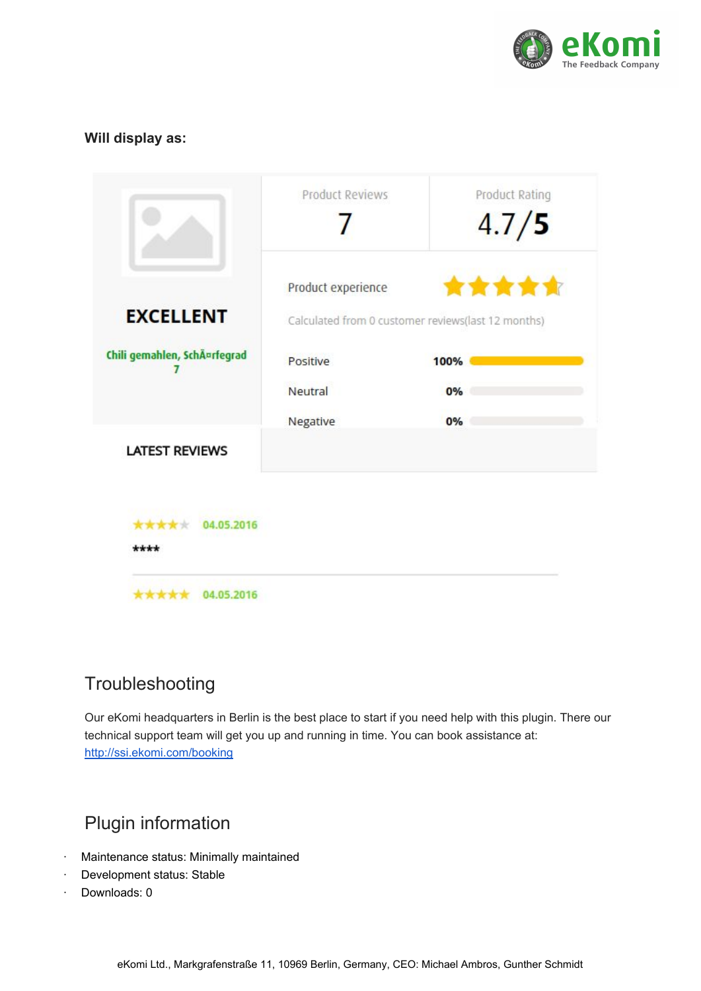

### **Will display as:**

|                             | <b>Product Reviews</b> | Product Rating<br>4.7/5                                     |
|-----------------------------|------------------------|-------------------------------------------------------------|
| <b>EXCELLENT</b>            | Product experience     | *****<br>Calculated from 0 customer reviews(last 12 months) |
| Chili gemahlen, SchĤrfegrad | Positive               | 100%                                                        |
|                             | Neutral                | 0%                                                          |
|                             | Negative               | 0%                                                          |
| <b>LATEST REVIEWS</b>       |                        |                                                             |
| *****<br>04.05.2016<br>**** |                        |                                                             |
| 04.05.2016                  |                        |                                                             |

# Troubleshooting

Our eKomi headquarters in Berlin is the best place to start if you need help with this plugin. There our technical support team will get you up and running in time. You can book assistance at: <http://ssi.ekomi.com/booking>

# Plugin information

- · Maintenance status: Minimally maintained
- Development status: Stable
- Downloads: 0